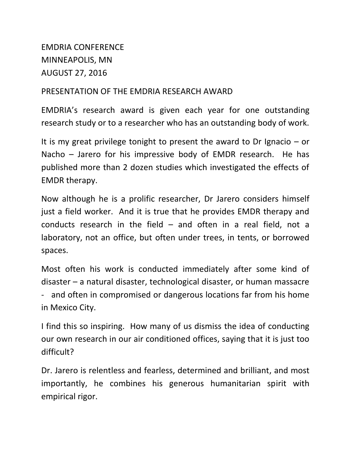## EMDRIA CONFERENCE MINNEAPOLIS, MN AUGUST 27, 2016

## PRESENTATION OF THE EMDRIA RESEARCH AWARD

EMDRIA's research award is given each year for one outstanding research study or to a researcher who has an outstanding body of work.

It is my great privilege tonight to present the award to Dr Ignacio  $-$  or Nacho – Jarero for his impressive body of EMDR research. He has published more than 2 dozen studies which investigated the effects of EMDR therapy.

Now although he is a prolific researcher, Dr Jarero considers himself just a field worker. And it is true that he provides EMDR therapy and conducts research in the field – and often in a real field, not a laboratory, not an office, but often under trees, in tents, or borrowed spaces.

Most often his work is conducted immediately after some kind of disaster – a natural disaster, technological disaster, or human massacre and often in compromised or dangerous locations far from his home in Mexico City.

I find this so inspiring. How many of us dismiss the idea of conducting our own research in our air conditioned offices, saying that it is just too difficult?

Dr. Jarero is relentless and fearless, determined and brilliant, and most importantly, he combines his generous humanitarian spirit with empirical rigor.